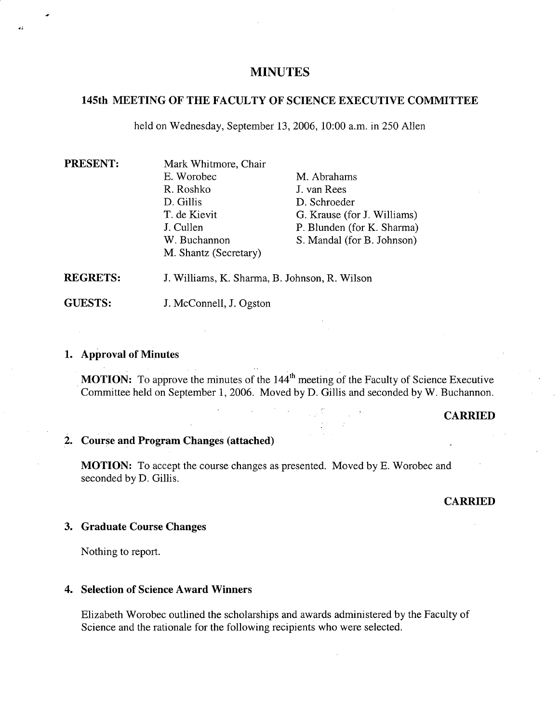## **MINUTES**

## **145th MEETING OF THE FACULTY OF SCIENCE EXECUTIVE COMMITTEE**

held on Wednesday, September 13, 2006, 10:00 a.m. in 250 Allen

| PRESENT:        | Mark Whitmore, Chair                          |                             |
|-----------------|-----------------------------------------------|-----------------------------|
|                 | E. Worobec                                    | M. Abrahams                 |
|                 | R. Roshko                                     | J. van Rees                 |
|                 | D. Gillis                                     | D. Schroeder                |
|                 | T. de Kievit                                  | G. Krause (for J. Williams) |
|                 | J. Cullen                                     | P. Blunden (for K. Sharma)  |
|                 | W. Buchannon                                  | S. Mandal (for B. Johnson)  |
|                 | M. Shantz (Secretary)                         |                             |
| <b>REGRETS:</b> | J. Williams, K. Sharma, B. Johnson, R. Wilson |                             |

**GUESTS:**  J. McConnell, J. Ogston

### **Approval of Minutes**

41

**MOTION:** To approve the minutes of the 144<sup>th</sup> meeting of the Faculty of Science Executive Committee held on September 1, 2006. Moved by D. Gillis and seconded by W. Buchannon.

### **CARRIED**

# **Course and Program Changes (attached)**

**MOTION:** To accept the course changes as presented. Moved by E. Worobec and seconded by D. Gillis.

### **CARRIED**

### **Graduate Course Changes**

Nothing to report.

### **4. Selection of Science Award Winners**

Elizabeth Worobec outlined the scholarships and awards administered by the Faculty of Science and the rationale for the following recipients who were selected.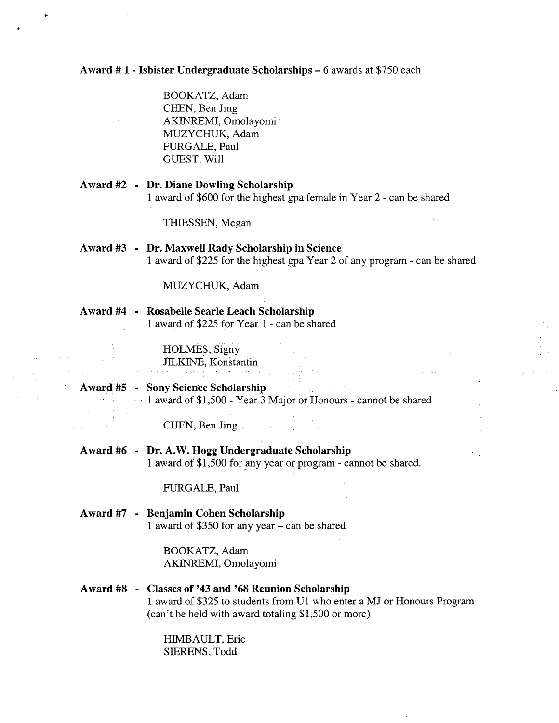# **Award # 1** - **Isbister Undergraduate Scholarships -** 6 awards at \$750 each

BOOKATZ, Adam CHEN, Ben Jing AKINREMI, Omolayomi MUZYCHUK, Adam FURGALE, Paul GUEST, Will

# **Award #2 - Dr. Diane Dowling Scholarship**  1 award of \$600 for the highest gpa female in Year 2 - can be shared

THIESSEN, Megan

## **Award #3 - Dr. Maxwell Rady Scholarship in Science**  1 award of \$225 for the highest gpa Year 2 of any program - can be shared

 $\mathcal{L}(\mathcal{L}^{\text{max}}_{\mathcal{L}}(\mathcal{L}^{\text{max}}_{\mathcal{L}}))$ 

MUZYCHUK, Adam

### **Award #4 - Rosabelle Searle Leach Scholarship**  1 award of \$225 for Year 1 - can be shared

HOLMES, Signy JILKINE, Konstantin

# **Award #5 - Sony Science Scholarship**  1 award of \$1,500 - Year 3 Major or Honours - cannot be shared

CHEN, Ben Jing.. .

**Award. #6 - Dr. A.W. Hogg Undergraduate Scholarship**  1 award of \$1,500 for any year or program - cannot be shared.

FURGALE, Paul

## **Award #7 - Benjamin Cohen Scholarship**  1 award of \$350 for any year – can be shared

BOOKATZ, Adam AKINREMI, Omolayomi

# **Award #8 - Classes of 1 43 and 1 68 Reunion Scholarship**  1 award of \$325 to students from Ui who enter a MJ or Honours Program (can't be held with award totaling \$1,500 or more)

HIMBAULT, Eric S1ERENS, Todd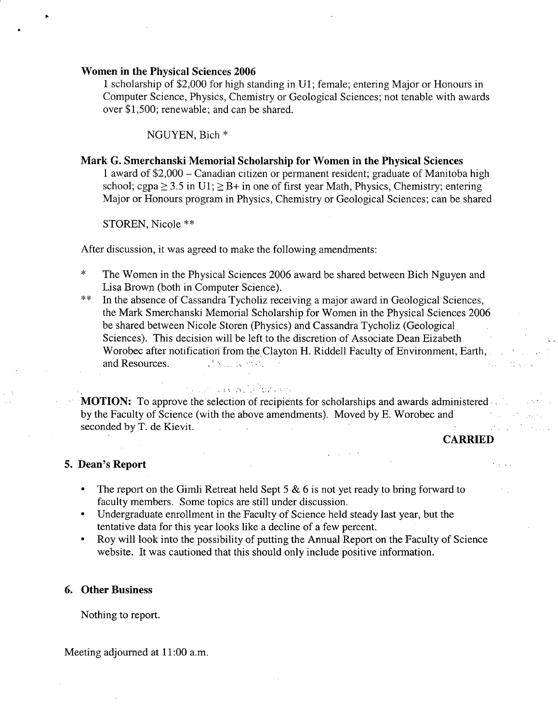### **Women in the Physical Sciences 2006**

1 scholarship of \$2,000 for high standing in Ui; female; entering Major or Honours in Computer Science, Physics, Chemistry or Geological Sciences; not tenable with awards over \$1,500; renewable; and can be shared.

NGUYEN, Bich \*

# **Mark G. Smerchanski Memorial Scholarship for Women in the Physical Sciences**  1 award of \$2,000 - Canadian citizen or permanent resident; graduate of Manitoba high school; cgpa  $\geq$  3.5 in U1;  $\geq$  B+ in one of first year Math, Physics, Chemistry; entering Major or Honours program in Physics, Chemistry or Geological Sciences; can be shared

STOREN, Nicole \*\*

After discussion, it was agreed to make the following amendments:

and a company of the second

- \* The Women in the Physical Sciences 2006 award be shared between Bich Nguyen and Lisa Brown (both in Computer Science).
- \*\* In the absence of Cassandra Tycholiz receiving a major award in Geological Sciences, the Mark Smerchanski Memorial Scholarship for Women in the Physical Sciences 2006 be shared between Nicole Storen (Physics) and Cassandra Tycholiz (Geological Sciences). This decision will be left to the discretion of Associate Dean Eizabeth Worobec after notification from the Clayton H. Riddell Faculty of Environment, Earth, and Resources. dyname. P

**MOTION:** To approve the selection of recipients for scholarships and awards administered by the Faculty of Science (with the above amendments). Moved by E. Worobec and seconded by T. de Kievit. ing C

# **CARRIED**

## **5. Dean's Report**

- The report on the Gimli Retreat held Sept *5* & 6 is not yet ready to bring forward to faculty members. Some topics are still under discussion.
- Undergraduate enrollment in the Faculty of Science held steady last year, but the tentative data for this year looks like a decline of a few percent.
- Roy will look into the possibility of putting the Annual Report on the Faculty of Science website. It was cautioned that this should only include positive information.

### **6. Other Business**

Nothing to report.

Meeting adjourned at 11:00 a.m.